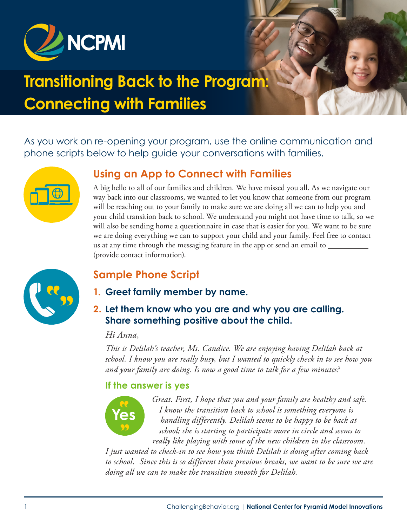

# **Transitioning Back to the Program: Connecting with Families**

As you work on re-opening your program, use the online communication and phone scripts below to help guide your conversations with families.



## **Using an App to Connect with Families**

A big hello to all of our families and children. We have missed you all. As we navigate our way back into our classrooms, we wanted to let you know that someone from our program will be reaching out to your family to make sure we are doing all we can to help you and your child transition back to school. We understand you might not have time to talk, so we will also be sending home a questionnaire in case that is easier for you. We want to be sure we are doing everything we can to support your child and your family. Feel free to contact us at any time through the messaging feature in the app or send an email to (provide contact information).



## **Sample Phone Script**

- **1. Greet family member by name.**
- **2. Let them know who you are and why you are calling. Share something positive about the child.**

#### *Hi Anna,*

*This is Delilah's teacher, Ms. Candice. We are enjoying having Delilah back at school. I know you are really busy, but I wanted to quickly check in to see how you and your family are doing. Is now a good time to talk for a few minutes?*

#### **If the answer is yes**



*Great. First, I hope that you and your family are healthy and safe. I know the transition back to school is something everyone is handling differently. Delilah seems to be happy to be back at school; she is starting to participate more in circle and seems to really like playing with some of the new children in the classroom.* 

*I just wanted to check-in to see how you think Delilah is doing after coming back to school. Since this is so different than previous breaks, we want to be sure we are doing all we can to make the transition smooth for Delilah.*